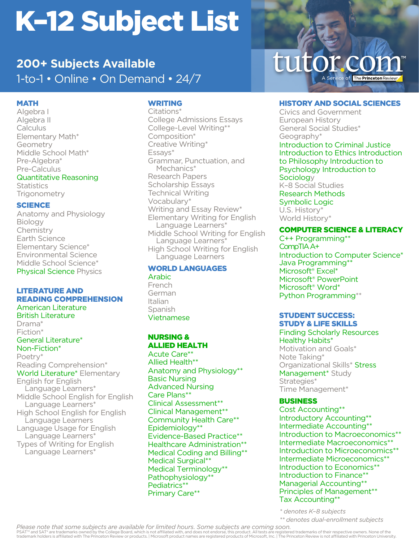# K–12 Subject List

# 1-to-1 • Online • On Demand • 24/7 **200+ Subjects Available**

## MATH

Algebra I Algebra II **Calculus** Elementary Math\* Geometry Middle School Math\* Pre-Algebra\* Pre-Calculus

Quantitative Reasoning

**Statistics Trigonometry** 

## **SCIENCE**

Anatomy and Physiology Biology Chemistry Earth Science Elementary Science\* Environmental Science Middle School Science\* Physical Science Physics

#### LITERATURE AND READING COMPREHENSION

American Literature British Literature Drama\* Fiction\* General Literature\* Non-Fiction\* Poetry\* Reading Comprehension\* World Literature\* Elementary English for English Language Learners\* Middle School English for English Language Learners\* High School English for English Language Learners Language Usage for English Language Learners\* Types of Writing for English Language Learners\*

# WRITING

Citations\* College Admissions Essays College-Level Writing\*\* Composition\* Creative Writing\* Essays\* Grammar, Punctuation, and Mechanics\* Research Papers Scholarship Essays Technical Writing Vocabulary\* Writing and Essay Review\* Elementary Writing for English Language Learners\* Middle School Writing for English Language Learners\* High School Writing for English Language Learners

#### WORLD LANGUAGES

Arabic French German Italian Spanish Vietnamese

## NURSING & ALLIED HEALTH

Acute Care\*\* Allied Health\*\* Anatomy and Physiology\*\* Basic Nursing Advanced Nursing Care Plans\*\* Clinical Assessment\*\* Clinical Management\*\* Community Health Care\*\* Epidemiology\*\* Evidence-Based Practice\*\* Healthcare Administration\*\* Medical Coding and Billing\*\* Medical Surgical\*\* Medical Terminology\*\* Pathophysiology\*\* Pediatrics\*\* Primary Care\*\*

# tutor.com A Service of The Princeton Review

#### HISTORY AND SOCIAL SCIENCES

Civics and Government European History General Social Studies\* Geography\*

Introduction to Criminal Justice Introduction to Ethics Introduction to Philosophy Introduction to Psychology Introduction to Sociology

K–8 Social Studies Research Methods Symbolic Logic U.S. History\*

World History\*

## COMPUTER SCIENCE & LITERACY

C++ Programming\*\* CompTIA A+ Introduction to Computer Science\* Java Programming\*\* Microsoft® Excel\* Microsoft® PowerPoint Microsoft® Word\* Python Programming\*\*

## STUDENT SUCCESS: STUDY & LIFE SKILLS

Finding Scholarly Resources Healthy Habits\* Motivation and Goals\*

Note Taking\* Organizational Skills\* Stress Management<sup>\*</sup> Study Strategies\* Time Management\*

## BUSINESS

Cost Accounting\*\* Introductory Accounting\*\* Intermediate Accounting\*\* Introduction to Macroeconomics\*\* Intermediate Macroeconomics\*\* Introduction to Microeconomics\*\* Intermediate Microeconomics\*\* Introduction to Economics\*\* Introduction to Finance\*\* Managerial Accounting\*\* Principles of Management\*\* Tax Accounting\*\*

*\* denotes K–8 subjects*

*\*\* denotes dual-enrollment subjects*

PSAT™ and SAT® are trademarks owned by the College Board, which is not affiliated with, and does not endorse, this product. All tests are registered trademarks of their respective owners. None of the<br>trademark holders is *Please note that some subjects are available for limited hours. Some subjects are coming soon.*